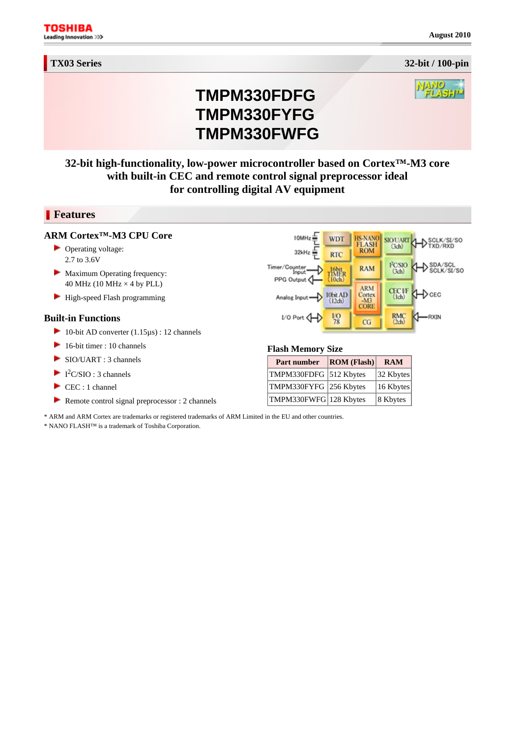**August 2010**

# **TMPM330FDFG TMPM330FYFG TMPM330FWFG**

## **32-bit high-functionality, low-power microcontroller based on Cortex™-M3 core with built-in CEC and remote control signal preprocessor ideal for controlling digital AV equipment**

#### **Features**

#### **ARM Cortex™-M3 CPU Core**

- ▶ Operating voltage: 2.7 to 3.6V
- Maximum Operating frequency: 40 MHz (10 MHz  $\times$  4 by PLL)
- **High-speed Flash programming**

#### **Built-in Functions**

- 10-bit AD converter  $(1.15 \mu s)$ : 12 channels
- 16-bit timer : 10 channels
- SIO/UART : 3 channels
- $I^2C/SIO: 3 channels$
- CEC : 1 channel
- Remote control signal preprocessor : 2 channels

## \* ARM and ARM Cortex are trademarks or registered trademarks of ARM Limited in the EU and other countries.

\* NANO FLASH™ is a trademark of Toshiba Corporation.

#### **Flash Memory Size**

10MHz

 $32$ kHz

Timer/Counter<br>Input

PPG Output

Analog Input

 $I/O$  Port  $I$ 

| Part number            | ROM (Flash) | <b>RAM</b> |
|------------------------|-------------|------------|
| TMPM330FDFG 512 Kbytes |             | 32 Kbytes  |
| TMPM330FYFG 256 Kbytes |             | 16 Kbytes  |
| TMPM330FWFG 128 Kbytes |             | 8 Kbytes   |

**WDT** 

**RTC** 

16bit<br>TIMER<br>(10ch)

10bit AD<br>(12ch)

 $\frac{1}{78}$ 

HS-NANO<br>FLASH<br>ROM

**RAM** 

**ARM** 

Cortex<br>-M3

CORE

 $CG$ 

SIOUART

PCSIO

 $(3ch)$ 

CEC IF<sub>(Ich)</sub>

RMC<br>(2ch)





SCLK/SI/SO

 $\triangleright_{\texttt{SCLK/SI/SO}}^{\texttt{SDA/SCL}}$ 

+D с∈с

**RXIN**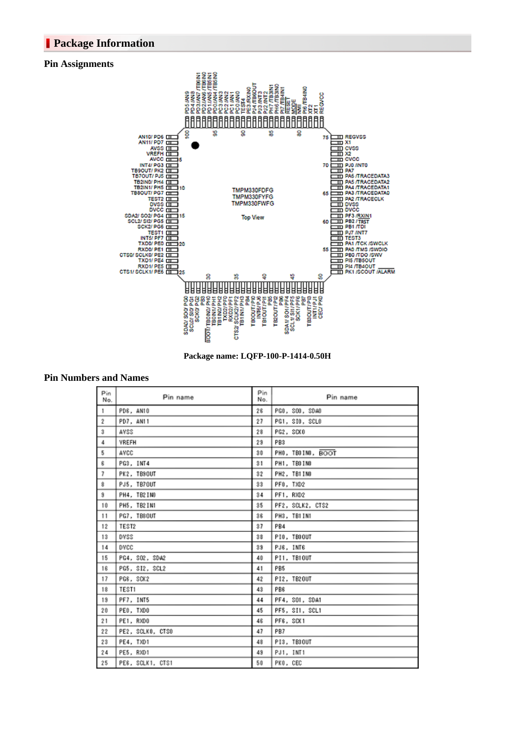### **Package Information**

#### **Pin Assignments**



**Package name: LQFP-100-P-1414-0.50H** 

#### **Pin Numbers and Names**

| Pin<br>No.               | Pin name         | Pin<br>No. | Pin name          |
|--------------------------|------------------|------------|-------------------|
| $\mathbf{1}$             | PD6, AN10        | 26         | PGO, SOO, SDAO    |
| $\overline{2}$           | PD7, AN11        | 27         | PG1, SIO, SCLO    |
| 3                        | AVSS             | 28         | PG2, SCK0         |
| 4                        | VREFH            | 23         | PB3               |
| 5                        | AVCC             | 30         | PH0, TB0IN0, BOOT |
| 6                        | PG3, INT4        | 31         | PH1, TB0INO       |
| $\overline{\phantom{a}}$ | PK2, TB9OUT      | 32         | PH2, TB1IN0       |
| 8                        | PJ5. TB70UT      | 33         | PFO. TXD2         |
| 9                        | PH4, TB2IN0      | 34         | PF1, RXD2         |
| 10                       | PH5, TB2IN1      | 35         | PF2, SCLK2, CTS2  |
| 11                       | PG7. TBSOUT      | 36         | PH3. TB1IN1       |
| 12                       | TEST2            | 37         | PB4               |
| 13                       | DVSS             | 38         | PIO, TEOOUT       |
| 14                       | DVCC             | 33         | PJ6, INT6         |
| 15                       | PG4, SO2, SDA2   | 40         | PI1, TB10UT       |
| 16                       | PG5, SI2, SCL2   | 41         | PB5               |
| 17                       | PG6. SCK2        | 42         | PI2. TB20UT       |
| 18                       | TEST1            | 43         | PB6               |
| 19                       | PF7, INTS        | 44         | PF4, SO1, SDA1    |
| 20                       | PEO, TXDO        | 45         | PF5, SI1, SCL1    |
| 21                       | PE1, RXDO        | 46         | PF6, SCX1         |
| 22                       | PE2, SCLKO, CTSO | 47         | PB7               |
| 23                       | PE4, TXD1        | 48         | PI3, TB30UT       |
| 24                       | PE5, RXD1        | 43         | PJ1, INT1         |
| 25                       | PES, SOLK1, CTS1 | 50         | PKO. CEC          |